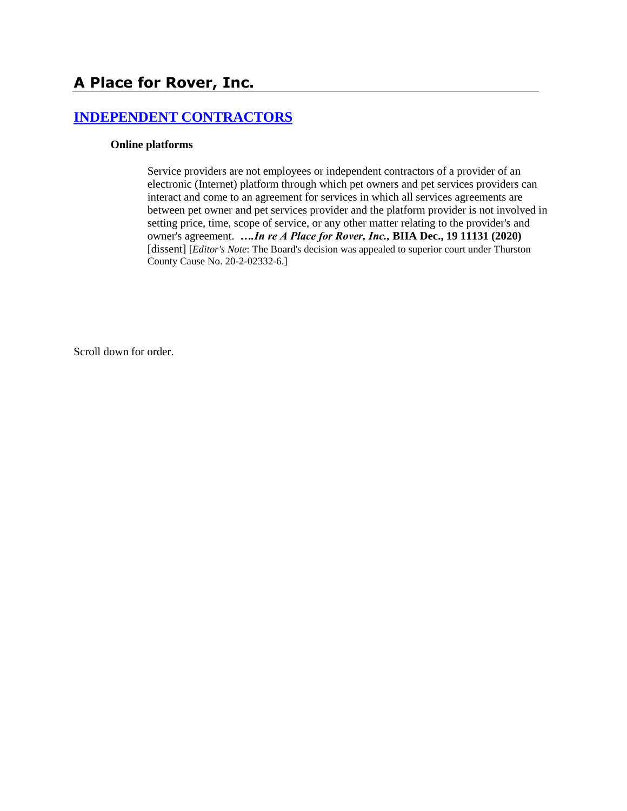# **[INDEPENDENT CONTRACTORS](http://www.biia.wa.gov/SDSubjectIndex.html#INDEPENDENT_CONTRACTORS)**

#### **Online platforms**

Service providers are not employees or independent contractors of a provider of an electronic (Internet) platform through which pet owners and pet services providers can interact and come to an agreement for services in which all services agreements are between pet owner and pet services provider and the platform provider is not involved in setting price, time, scope of service, or any other matter relating to the provider's and owner's agreement. *….In re A Place for Rover, Inc.,* **BIIA Dec., 19 11131 (2020)** [dissent] [*Editor's Note*: The Board's decision was appealed to superior court under Thurston County Cause No. 20-2-02332-6.]

Scroll down for order.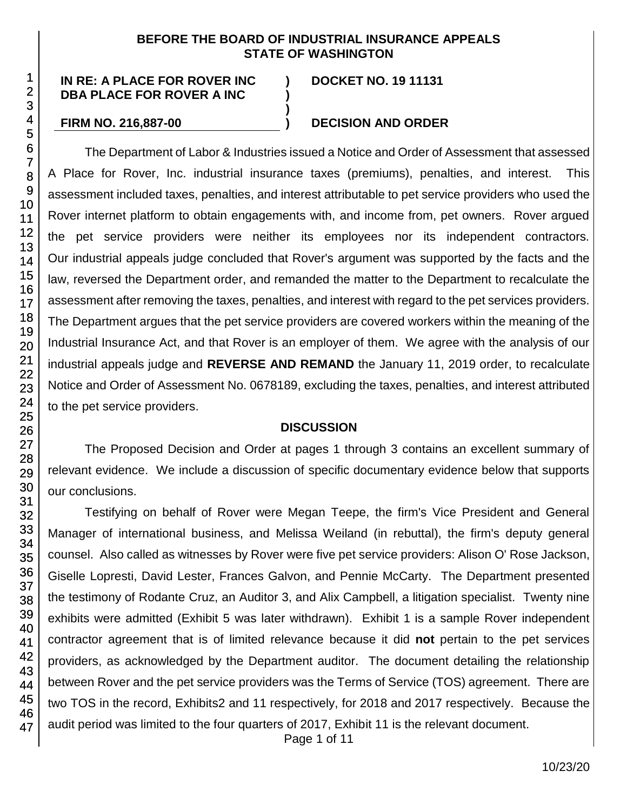### **BEFORE THE BOARD OF INDUSTRIAL INSURANCE APPEALS STATE OF WASHINGTON**

**) )**

**)**

#### **IN RE: A PLACE FOR ROVER INC DBA PLACE FOR ROVER A INC**

## **DOCKET NO. 19 11131**

#### **FIRM NO. 216,887-00 ) DECISION AND ORDER**

The Department of Labor & Industries issued a Notice and Order of Assessment that assessed A Place for Rover, Inc. industrial insurance taxes (premiums), penalties, and interest. This assessment included taxes, penalties, and interest attributable to pet service providers who used the Rover internet platform to obtain engagements with, and income from, pet owners. Rover argued the pet service providers were neither its employees nor its independent contractors. Our industrial appeals judge concluded that Rover's argument was supported by the facts and the law, reversed the Department order, and remanded the matter to the Department to recalculate the assessment after removing the taxes, penalties, and interest with regard to the pet services providers. The Department argues that the pet service providers are covered workers within the meaning of the Industrial Insurance Act, and that Rover is an employer of them. We agree with the analysis of our industrial appeals judge and **REVERSE AND REMAND** the January 11, 2019 order, to recalculate Notice and Order of Assessment No. 0678189, excluding the taxes, penalties, and interest attributed to the pet service providers.

#### **DISCUSSION**

The Proposed Decision and Order at pages 1 through 3 contains an excellent summary of relevant evidence. We include a discussion of specific documentary evidence below that supports our conclusions.

Testifying on behalf of Rover were Megan Teepe, the firm's Vice President and General Manager of international business, and Melissa Weiland (in rebuttal), the firm's deputy general counsel. Also called as witnesses by Rover were five pet service providers: Alison O' Rose Jackson, Giselle Lopresti, David Lester, Frances Galvon, and Pennie McCarty. The Department presented the testimony of Rodante Cruz, an Auditor 3, and Alix Campbell, a litigation specialist. Twenty nine exhibits were admitted (Exhibit 5 was later withdrawn). Exhibit 1 is a sample Rover independent contractor agreement that is of limited relevance because it did **not** pertain to the pet services providers, as acknowledged by the Department auditor. The document detailing the relationship between Rover and the pet service providers was the Terms of Service (TOS) agreement. There are two TOS in the record, Exhibits2 and 11 respectively, for 2018 and 2017 respectively. Because the audit period was limited to the four quarters of 2017, Exhibit 11 is the relevant document.

Page 1 of 11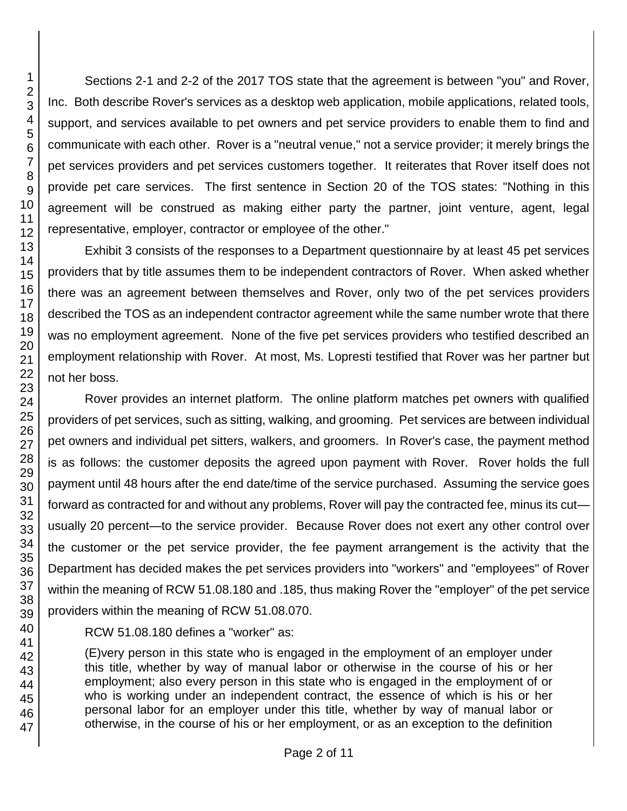Sections 2-1 and 2-2 of the 2017 TOS state that the agreement is between "you" and Rover, Inc. Both describe Rover's services as a desktop web application, mobile applications, related tools, support, and services available to pet owners and pet service providers to enable them to find and communicate with each other. Rover is a "neutral venue," not a service provider; it merely brings the pet services providers and pet services customers together. It reiterates that Rover itself does not provide pet care services. The first sentence in Section 20 of the TOS states: "Nothing in this agreement will be construed as making either party the partner, joint venture, agent, legal representative, employer, contractor or employee of the other."

Exhibit 3 consists of the responses to a Department questionnaire by at least 45 pet services providers that by title assumes them to be independent contractors of Rover. When asked whether there was an agreement between themselves and Rover, only two of the pet services providers described the TOS as an independent contractor agreement while the same number wrote that there was no employment agreement. None of the five pet services providers who testified described an employment relationship with Rover. At most, Ms. Lopresti testified that Rover was her partner but not her boss.

Rover provides an internet platform. The online platform matches pet owners with qualified providers of pet services, such as sitting, walking, and grooming. Pet services are between individual pet owners and individual pet sitters, walkers, and groomers. In Rover's case, the payment method is as follows: the customer deposits the agreed upon payment with Rover. Rover holds the full payment until 48 hours after the end date/time of the service purchased. Assuming the service goes forward as contracted for and without any problems, Rover will pay the contracted fee, minus its cut usually 20 percent—to the service provider. Because Rover does not exert any other control over the customer or the pet service provider, the fee payment arrangement is the activity that the Department has decided makes the pet services providers into "workers" and "employees" of Rover within the meaning of RCW 51.08.180 and .185, thus making Rover the "employer" of the pet service providers within the meaning of RCW 51.08.070.

RCW 51.08.180 defines a "worker" as:

(E)very person in this state who is engaged in the employment of an employer under this title, whether by way of manual labor or otherwise in the course of his or her employment; also every person in this state who is engaged in the employment of or who is working under an independent contract, the essence of which is his or her personal labor for an employer under this title, whether by way of manual labor or otherwise, in the course of his or her employment, or as an exception to the definition

1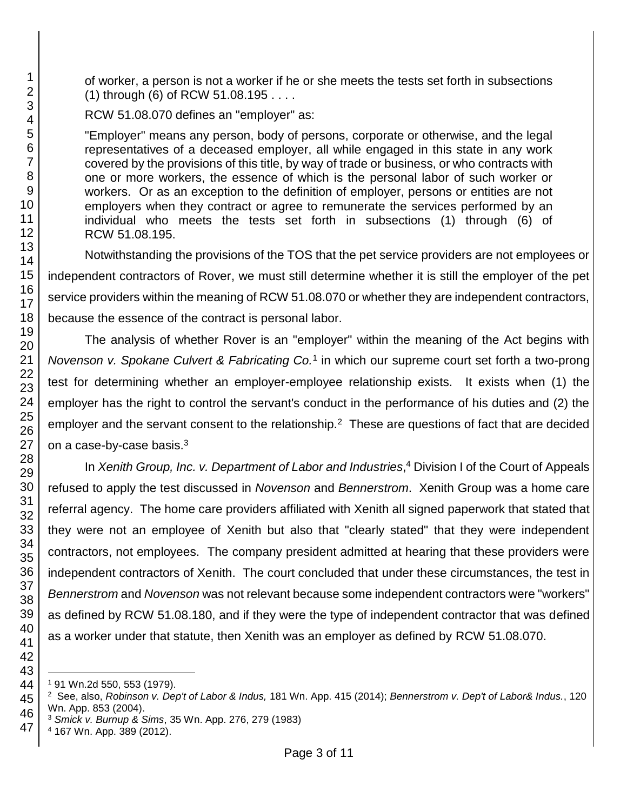of worker, a person is not a worker if he or she meets the tests set forth in subsections (1) through (6) of RCW 51.08.195 . . . .

RCW 51.08.070 defines an "employer" as:

"Employer" means any person, body of persons, corporate or otherwise, and the legal representatives of a deceased employer, all while engaged in this state in any work covered by the provisions of this title, by way of trade or business, or who contracts with one or more workers, the essence of which is the personal labor of such worker or workers. Or as an exception to the definition of employer, persons or entities are not employers when they contract or agree to remunerate the services performed by an individual who meets the tests set forth in subsections (1) through (6) of RCW 51.08.195.

Notwithstanding the provisions of the TOS that the pet service providers are not employees or independent contractors of Rover, we must still determine whether it is still the employer of the pet service providers within the meaning of RCW 51.08.070 or whether they are independent contractors, because the essence of the contract is personal labor.

The analysis of whether Rover is an "employer" within the meaning of the Act begins with *Novenson v. Spokane Culvert & Fabricating Co.*<sup>1</sup> in which our supreme court set forth a two-prong test for determining whether an employer-employee relationship exists. It exists when (1) the employer has the right to control the servant's conduct in the performance of his duties and (2) the employer and the servant consent to the relationship.<sup>2</sup> These are questions of fact that are decided on a case-by-case basis.<sup>3</sup>

In *Xenith Group, Inc. v. Department of Labor and Industries*, <sup>4</sup> Division I of the Court of Appeals refused to apply the test discussed in *Novenson* and *Bennerstrom*. Xenith Group was a home care referral agency. The home care providers affiliated with Xenith all signed paperwork that stated that they were not an employee of Xenith but also that "clearly stated" that they were independent contractors, not employees. The company president admitted at hearing that these providers were independent contractors of Xenith. The court concluded that under these circumstances, the test in *Bennerstrom* and *Novenson* was not relevant because some independent contractors were "workers" as defined by RCW 51.08.180, and if they were the type of independent contractor that was defined as a worker under that statute, then Xenith was an employer as defined by RCW 51.08.070.

167 Wn. App. 389 (2012).

l 91 Wn.2d 550, 553 (1979).

 See, also, *Robinson v. Dep't of Labor & Indus,* 181 Wn. App. 415 (2014); *Bennerstrom v. Dep't of Labor& Indus.*, 120 Wn. App. 853 (2004).

*Smick v. Burnup & Sims*, 35 Wn. App. 276, 279 (1983)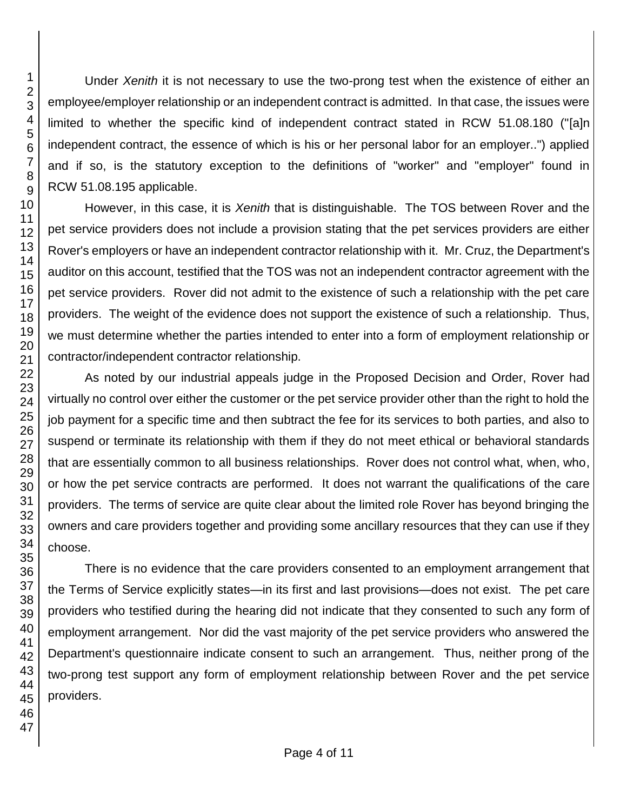Under *Xenith* it is not necessary to use the two-prong test when the existence of either an employee/employer relationship or an independent contract is admitted. In that case, the issues were limited to whether the specific kind of independent contract stated in RCW 51.08.180 ("[a]n independent contract, the essence of which is his or her personal labor for an employer..") applied and if so, is the statutory exception to the definitions of "worker" and "employer" found in RCW 51.08.195 applicable. However, in this case, it is *Xenith* that is distinguishable. The TOS between Rover and the pet service providers does not include a provision stating that the pet services providers are either Rover's employers or have an independent contractor relationship with it. Mr. Cruz, the Department's auditor on this account, testified that the TOS was not an independent contractor agreement with the

pet service providers. Rover did not admit to the existence of such a relationship with the pet care providers. The weight of the evidence does not support the existence of such a relationship. Thus, we must determine whether the parties intended to enter into a form of employment relationship or contractor/independent contractor relationship.

As noted by our industrial appeals judge in the Proposed Decision and Order, Rover had virtually no control over either the customer or the pet service provider other than the right to hold the job payment for a specific time and then subtract the fee for its services to both parties, and also to suspend or terminate its relationship with them if they do not meet ethical or behavioral standards that are essentially common to all business relationships. Rover does not control what, when, who, or how the pet service contracts are performed. It does not warrant the qualifications of the care providers. The terms of service are quite clear about the limited role Rover has beyond bringing the owners and care providers together and providing some ancillary resources that they can use if they choose.

There is no evidence that the care providers consented to an employment arrangement that the Terms of Service explicitly states—in its first and last provisions—does not exist. The pet care providers who testified during the hearing did not indicate that they consented to such any form of employment arrangement. Nor did the vast majority of the pet service providers who answered the Department's questionnaire indicate consent to such an arrangement. Thus, neither prong of the two-prong test support any form of employment relationship between Rover and the pet service providers.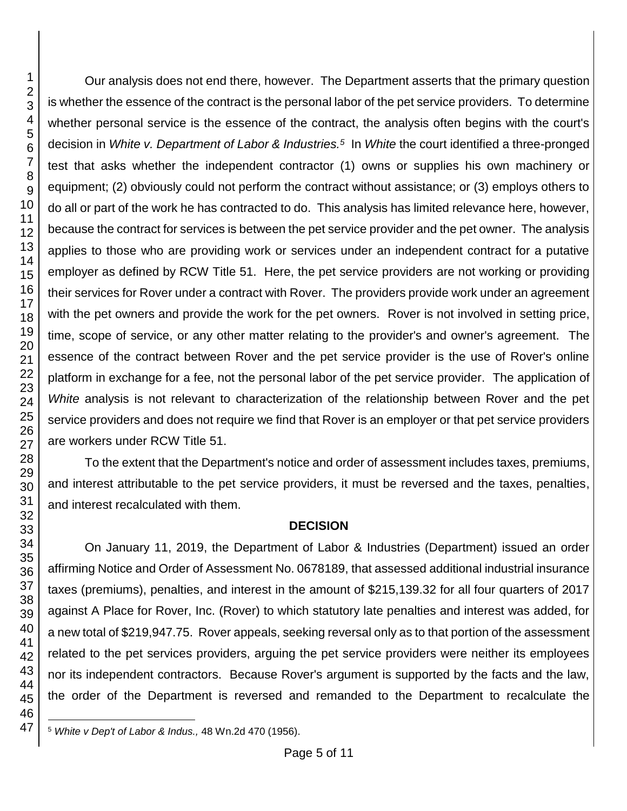Our analysis does not end there, however. The Department asserts that the primary question is whether the essence of the contract is the personal labor of the pet service providers. To determine whether personal service is the essence of the contract, the analysis often begins with the court's decision in *White v. Department of Labor & Industries.<sup>5</sup>* In *White* the court identified a three-pronged test that asks whether the independent contractor (1) owns or supplies his own machinery or equipment; (2) obviously could not perform the contract without assistance; or (3) employs others to do all or part of the work he has contracted to do. This analysis has limited relevance here, however, because the contract for services is between the pet service provider and the pet owner. The analysis applies to those who are providing work or services under an independent contract for a putative employer as defined by RCW Title 51. Here, the pet service providers are not working or providing their services for Rover under a contract with Rover. The providers provide work under an agreement with the pet owners and provide the work for the pet owners. Rover is not involved in setting price, time, scope of service, or any other matter relating to the provider's and owner's agreement. The essence of the contract between Rover and the pet service provider is the use of Rover's online platform in exchange for a fee, not the personal labor of the pet service provider. The application of *White* analysis is not relevant to characterization of the relationship between Rover and the pet service providers and does not require we find that Rover is an employer or that pet service providers are workers under RCW Title 51.

To the extent that the Department's notice and order of assessment includes taxes, premiums, and interest attributable to the pet service providers, it must be reversed and the taxes, penalties, and interest recalculated with them.

## **DECISION**

On January 11, 2019, the Department of Labor & Industries (Department) issued an order affirming Notice and Order of Assessment No. 0678189, that assessed additional industrial insurance taxes (premiums), penalties, and interest in the amount of \$215,139.32 for all four quarters of 2017 against A Place for Rover, Inc. (Rover) to which statutory late penalties and interest was added, for a new total of \$219,947.75. Rover appeals, seeking reversal only as to that portion of the assessment related to the pet services providers, arguing the pet service providers were neither its employees nor its independent contractors. Because Rover's argument is supported by the facts and the law, the order of the Department is reversed and remanded to the Department to recalculate the

l <sup>5</sup> *White v Dep't of Labor & Indus.,* 48 Wn.2d 470 (1956).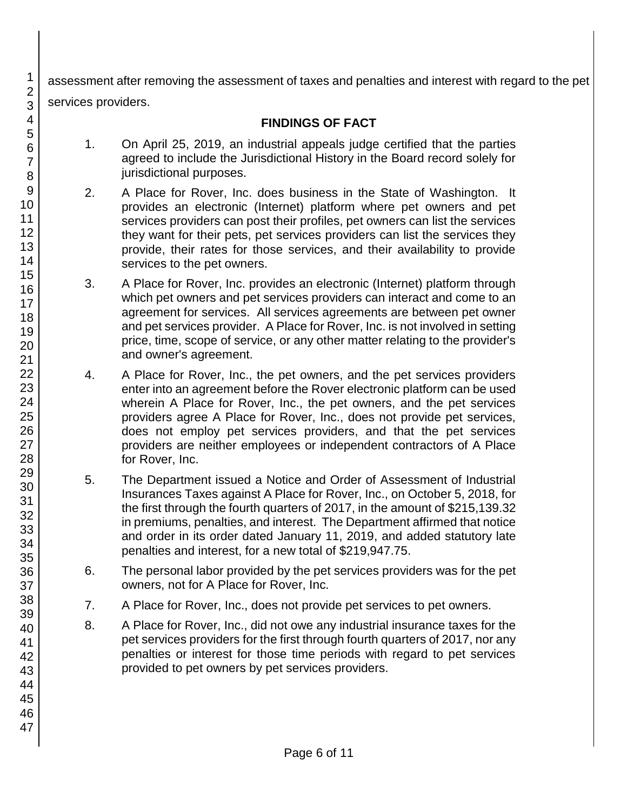assessment after removing the assessment of taxes and penalties and interest with regard to the pet services providers.

# **FINDINGS OF FACT**

- 1. On April 25, 2019, an industrial appeals judge certified that the parties agreed to include the Jurisdictional History in the Board record solely for jurisdictional purposes.
- 2. A Place for Rover, Inc. does business in the State of Washington. It provides an electronic (Internet) platform where pet owners and pet services providers can post their profiles, pet owners can list the services they want for their pets, pet services providers can list the services they provide, their rates for those services, and their availability to provide services to the pet owners.
- 3. A Place for Rover, Inc. provides an electronic (Internet) platform through which pet owners and pet services providers can interact and come to an agreement for services. All services agreements are between pet owner and pet services provider. A Place for Rover, Inc. is not involved in setting price, time, scope of service, or any other matter relating to the provider's and owner's agreement.
- 4. A Place for Rover, Inc., the pet owners, and the pet services providers enter into an agreement before the Rover electronic platform can be used wherein A Place for Rover, Inc., the pet owners, and the pet services providers agree A Place for Rover, Inc., does not provide pet services, does not employ pet services providers, and that the pet services providers are neither employees or independent contractors of A Place for Rover, Inc.
- 5. The Department issued a Notice and Order of Assessment of Industrial Insurances Taxes against A Place for Rover, Inc., on October 5, 2018, for the first through the fourth quarters of 2017, in the amount of \$215,139.32 in premiums, penalties, and interest. The Department affirmed that notice and order in its order dated January 11, 2019, and added statutory late penalties and interest, for a new total of \$219,947.75.
- 6. The personal labor provided by the pet services providers was for the pet owners, not for A Place for Rover, Inc.
- 7. A Place for Rover, Inc., does not provide pet services to pet owners.
- 8. A Place for Rover, Inc., did not owe any industrial insurance taxes for the pet services providers for the first through fourth quarters of 2017, nor any penalties or interest for those time periods with regard to pet services provided to pet owners by pet services providers.

1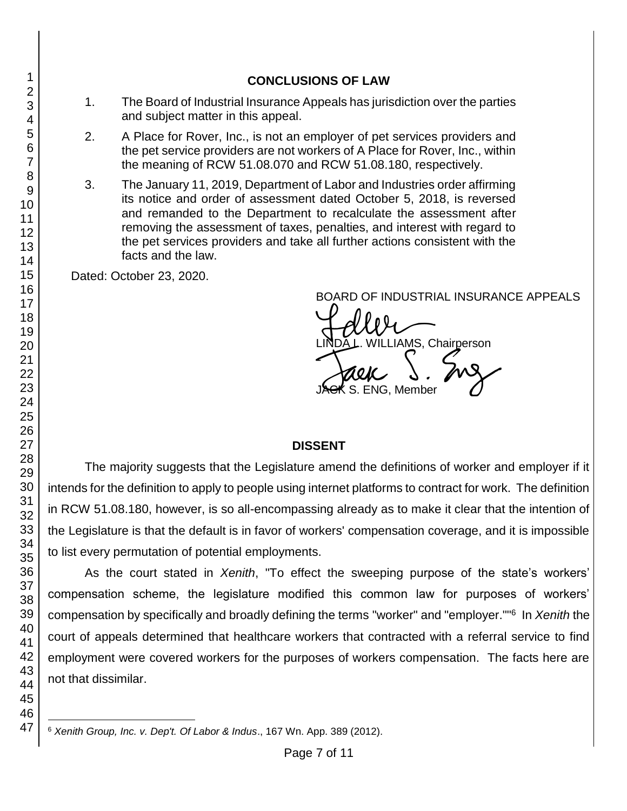## **CONCLUSIONS OF LAW**

- 1. The Board of Industrial Insurance Appeals has jurisdiction over the parties and subject matter in this appeal.
- 2. A Place for Rover, Inc., is not an employer of pet services providers and the pet service providers are not workers of A Place for Rover, Inc., within the meaning of RCW 51.08.070 and RCW 51.08.180, respectively.
- 3. The January 11, 2019, Department of Labor and Industries order affirming its notice and order of assessment dated October 5, 2018, is reversed and remanded to the Department to recalculate the assessment after removing the assessment of taxes, penalties, and interest with regard to the pet services providers and take all further actions consistent with the facts and the law.

Dated: October 23, 2020.

BOARD OF INDUSTRIAL INSURANCE APPEALS

BOARD OF INDUSTRIAL INSURAN<br>LINDA L. WILLIAMS, Chairperson<br>JAGK S. ENG, Member S. ENG, Member

## **DISSENT**

The majority suggests that the Legislature amend the definitions of worker and employer if it intends for the definition to apply to people using internet platforms to contract for work. The definition in RCW 51.08.180, however, is so all-encompassing already as to make it clear that the intention of the Legislature is that the default is in favor of workers' compensation coverage, and it is impossible to list every permutation of potential employments.

As the court stated in *Xenith*, "To effect the sweeping purpose of the state's workers' compensation scheme, the legislature modified this common law for purposes of workers' compensation by specifically and broadly defining the terms "worker" and "employer.""<sup>6</sup> In *Xenith* the court of appeals determined that healthcare workers that contracted with a referral service to find employment were covered workers for the purposes of workers compensation. The facts here are not that dissimilar.

l *Xenith Group, Inc. v. Dep't. Of Labor & Indus*., 167 Wn. App. 389 (2012).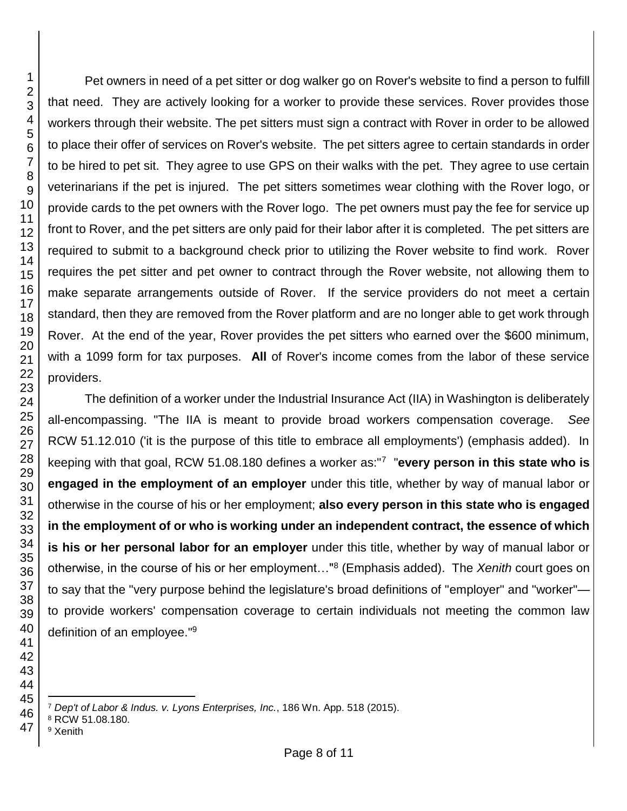Pet owners in need of a pet sitter or dog walker go on Rover's website to find a person to fulfill that need. They are actively looking for a worker to provide these services. Rover provides those workers through their website. The pet sitters must sign a contract with Rover in order to be allowed to place their offer of services on Rover's website. The pet sitters agree to certain standards in order to be hired to pet sit. They agree to use GPS on their walks with the pet. They agree to use certain veterinarians if the pet is injured. The pet sitters sometimes wear clothing with the Rover logo, or provide cards to the pet owners with the Rover logo. The pet owners must pay the fee for service up front to Rover, and the pet sitters are only paid for their labor after it is completed. The pet sitters are required to submit to a background check prior to utilizing the Rover website to find work. Rover requires the pet sitter and pet owner to contract through the Rover website, not allowing them to make separate arrangements outside of Rover. If the service providers do not meet a certain standard, then they are removed from the Rover platform and are no longer able to get work through Rover. At the end of the year, Rover provides the pet sitters who earned over the \$600 minimum, with a 1099 form for tax purposes. **All** of Rover's income comes from the labor of these service providers.

The definition of a worker under the Industrial Insurance Act (IIA) in Washington is deliberately all-encompassing. "The IIA is meant to provide broad workers compensation coverage. *See* RCW 51.12.010 ('it is the purpose of this title to embrace all employments') (emphasis added). In keeping with that goal, RCW 51.08.180 defines a worker as:"<sup>7</sup> "**every person in this state who is engaged in the employment of an employer** under this title, whether by way of manual labor or otherwise in the course of his or her employment; **also every person in this state who is engaged in the employment of or who is working under an independent contract, the essence of which is his or her personal labor for an employer** under this title, whether by way of manual labor or otherwise, in the course of his or her employment…"<sup>8</sup> (Emphasis added). The *Xenith* court goes on to say that the "very purpose behind the legislature's broad definitions of "employer" and "worker" to provide workers' compensation coverage to certain individuals not meeting the common law definition of an employee."<sup>9</sup>

Xenith

l

*Dep't of Labor & Indus. v. Lyons Enterprises, Inc.*, 186 Wn. App. 518 (2015).

RCW 51.08.180.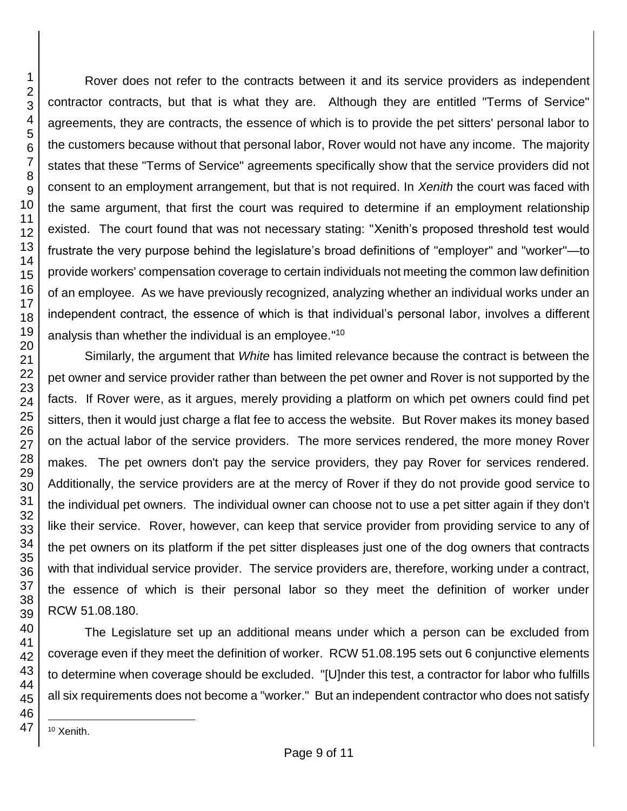Rover does not refer to the contracts between it and its service providers as independent contractor contracts, but that is what they are. Although they are entitled "Terms of Service" agreements, they are contracts, the essence of which is to provide the pet sitters' personal labor to the customers because without that personal labor, Rover would not have any income. The majority states that these "Terms of Service" agreements specifically show that the service providers did not consent to an employment arrangement, but that is not required. In *Xenith* the court was faced with the same argument, that first the court was required to determine if an employment relationship existed. The court found that was not necessary stating: "Xenith's proposed threshold test would frustrate the very purpose behind the legislature's broad definitions of "employer" and "worker"—to provide workers' compensation coverage to certain individuals not meeting the common law definition of an employee. As we have previously recognized, analyzing whether an individual works under an independent contract, the essence of which is that individual's personal labor, involves a different analysis than whether the individual is an employee."<sup>10</sup>

Similarly, the argument that *White* has limited relevance because the contract is between the pet owner and service provider rather than between the pet owner and Rover is not supported by the facts. If Rover were, as it argues, merely providing a platform on which pet owners could find pet sitters, then it would just charge a flat fee to access the website. But Rover makes its money based on the actual labor of the service providers. The more services rendered, the more money Rover makes. The pet owners don't pay the service providers, they pay Rover for services rendered. Additionally, the service providers are at the mercy of Rover if they do not provide good service to the individual pet owners. The individual owner can choose not to use a pet sitter again if they don't like their service. Rover, however, can keep that service provider from providing service to any of the pet owners on its platform if the pet sitter displeases just one of the dog owners that contracts with that individual service provider. The service providers are, therefore, working under a contract, the essence of which is their personal labor so they meet the definition of worker under RCW 51.08.180.

The Legislature set up an additional means under which a person can be excluded from coverage even if they meet the definition of worker. RCW 51.08.195 sets out 6 conjunctive elements to determine when coverage should be excluded. "[U]nder this test, a contractor for labor who fulfills all six requirements does not become a "worker." But an independent contractor who does not satisfy

l <sup>10</sup> Xenith.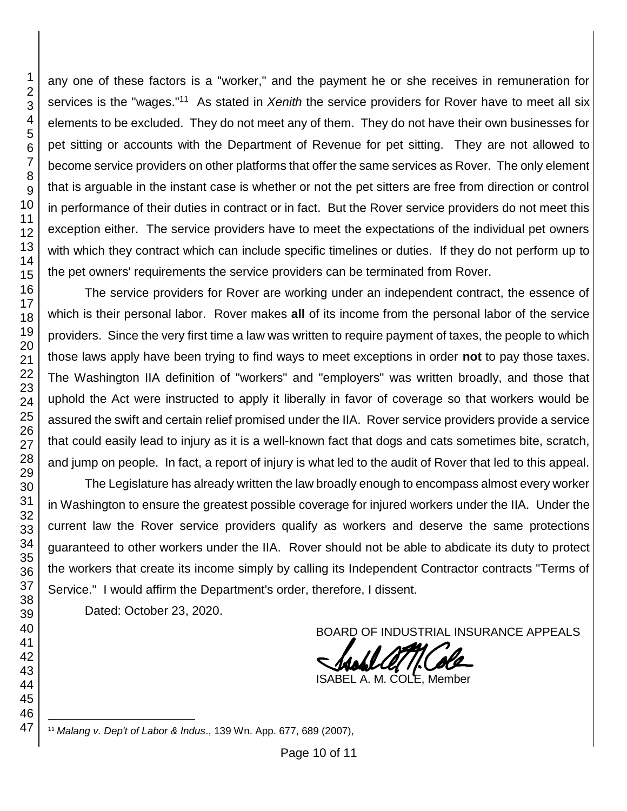any one of these factors is a "worker," and the payment he or she receives in remuneration for services is the "wages."<sup>11</sup> As stated in *Xenith* the service providers for Rover have to meet all six elements to be excluded. They do not meet any of them. They do not have their own businesses for pet sitting or accounts with the Department of Revenue for pet sitting. They are not allowed to become service providers on other platforms that offer the same services as Rover. The only element that is arguable in the instant case is whether or not the pet sitters are free from direction or control in performance of their duties in contract or in fact. But the Rover service providers do not meet this exception either. The service providers have to meet the expectations of the individual pet owners with which they contract which can include specific timelines or duties. If they do not perform up to the pet owners' requirements the service providers can be terminated from Rover.

The service providers for Rover are working under an independent contract, the essence of which is their personal labor. Rover makes **all** of its income from the personal labor of the service providers. Since the very first time a law was written to require payment of taxes, the people to which those laws apply have been trying to find ways to meet exceptions in order **not** to pay those taxes. The Washington IIA definition of "workers" and "employers" was written broadly, and those that uphold the Act were instructed to apply it liberally in favor of coverage so that workers would be assured the swift and certain relief promised under the IIA. Rover service providers provide a service that could easily lead to injury as it is a well-known fact that dogs and cats sometimes bite, scratch, and jump on people. In fact, a report of injury is what led to the audit of Rover that led to this appeal.

The Legislature has already written the law broadly enough to encompass almost every worker in Washington to ensure the greatest possible coverage for injured workers under the IIA. Under the current law the Rover service providers qualify as workers and deserve the same protections guaranteed to other workers under the IIA. Rover should not be able to abdicate its duty to protect the workers that create its income simply by calling its Independent Contractor contracts "Terms of Service." I would affirm the Department's order, therefore, I dissent.

Dated: October 23, 2020.

BOARD OF INDUSTRIAL INSURANCE APPEALS

ISABEL A. M. COLE, Member

l *Malang v. Dep't of Labor & Indus*., 139 Wn. App. 677, 689 (2007),